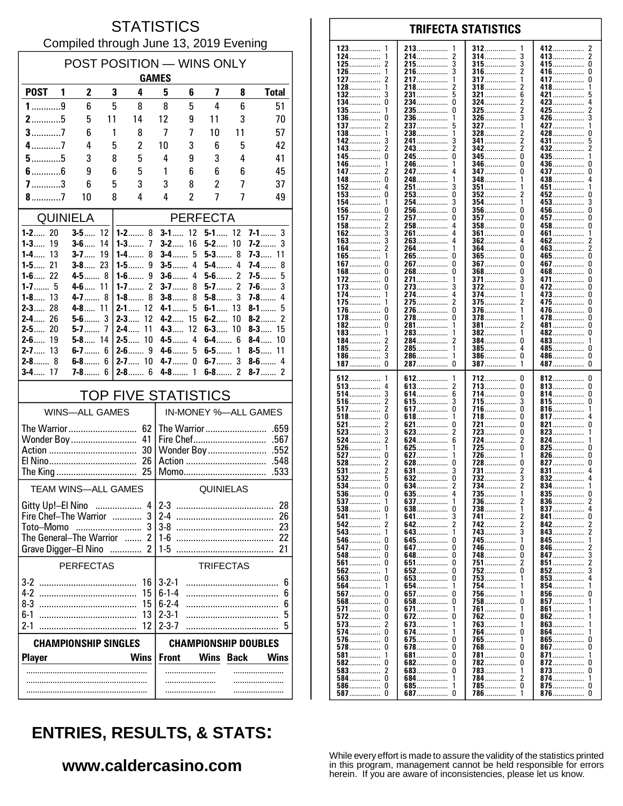#### **STATISTICS** Compiled through June 13, 2019 Evening

| POST POSITION - WINS ONLY<br><b>GAMES</b>  |                            |          |                              |                             |                 |                |                          |                             |  |
|--------------------------------------------|----------------------------|----------|------------------------------|-----------------------------|-----------------|----------------|--------------------------|-----------------------------|--|
| <b>POST</b>                                | $\mathbf{2}$<br>1          | 3        | 4                            | 5                           | 6               | 7              | 8                        | <b>Total</b>                |  |
| $1$ 9                                      | 6                          | 5        | 8                            | 8                           | 5               | 4              | 6                        | 51                          |  |
| $2$ 5                                      | 5                          | 11       | 14                           | 12                          | 9               | 11             | 3                        | 70                          |  |
| $3$ 7                                      | 6                          | 1        | 8                            | 7                           | 7               | 10             | 11                       | 57                          |  |
| $4$ 7                                      | 4                          | 5        | $\overline{c}$               | 10                          | 3               | 6              | 5                        | 42                          |  |
| $5$ 5<br>$6$ 6                             | 3<br>9                     | 8<br>6   | 5<br>5                       | 4<br>1                      | 9<br>6          | 3<br>6         | 4<br>6                   | 41<br>45                    |  |
| $7$ 3                                      | 6                          | 5        | 3                            | 3                           | 8               | $\overline{c}$ | 7                        | 37                          |  |
| 8.111                                      | 10                         | 8        | 4                            | 4                           | $\overline{2}$  | 7              | 7                        | 49                          |  |
|                                            | <b>QUINIELA</b>            |          |                              |                             | <b>PERFECTA</b> |                |                          |                             |  |
| $1 - 2$ 20                                 | $3-5$                      | 12       | $1 - 2$ 8                    | $3-1$                       | 12              | $5 - 1$ 12     |                          | $7-1$<br>3                  |  |
| $1-3$<br>19<br>$1-4$<br>13                 | $3 - 6$<br>$3 - 7$         | 14<br>19 | $1 - 3$<br>7<br>8<br>1-4……   | $3-2$<br>$3-4$              | 16<br>5         | $5-2$<br>$5-3$ | 10<br>8                  | $7-2$<br>3<br><b>7-3</b> 11 |  |
| $1 - 5$ 21                                 | $3 - 8$ 23                 |          | 9<br>1-5……                   | $3-5$                       | 4               | $5-4$          | 4                        | 7-4…….<br>8                 |  |
| $1 - 6$ 22                                 | 4-5                        | 8        | 9<br>$1-6$                   | $3-6$                       | 4               | $5-6$          | $\overline{\phantom{a}}$ | 5<br>7-5……                  |  |
| $1 - 7$ 5<br>$1 - 8$ 13                    | $4-6$ 11<br>$4 - 7$        | 8        | 2<br>$1 - 7$<br>$1-8$<br>8   | $3-7$<br>$3-8$              | 8<br>8          | 5-7<br>$5-8$   | 2<br>3                   | 3<br>$7-6$<br>$7 - 8$<br>4  |  |
| $2 - 3$ 28                                 | <b>4-8</b> 11              |          | $2 - 1$<br>12                | $4 - 1$                     | 5               | $6-1$          | 13                       | 8-1<br>5                    |  |
| 26<br>$2 - 4$                              | $5-6$                      | 3        | $2 - 3$<br>12                | $4-2$                       | 15              | $6 - 2$        | 10                       | 2<br>$8-2$                  |  |
| $2 - 5$ 20<br>$2-6$<br>19                  | 5-7<br>$5 - 8$ 14          | 7        | $2-4$<br>11<br>$2 - 5$<br>10 | $4-3$<br>$4-5$              | 12<br>4         | $6-3$<br>$6-4$ | 10<br>6                  | $8-3$<br>15<br>$8-4$<br>10  |  |
| $2 - 7$ 13                                 | $6-7$                      | 6        | $2-6$<br>9                   | $4-6$                       | 5               | $6-5$          | 1                        | $8-5$<br>11                 |  |
| $2 - 8$ 8                                  | 6-8……                      | 6        | 10<br>$2 - 7$                | $4 - 7$                     | $\mathbf{0}$    | $6-7$          | 3                        | 4<br>$8-6$                  |  |
| $3 - 4$ 17                                 | <b>7-8</b>                 | ĥ        | $2 - 8$ 6                    | 4-8                         | 1               | $6-8$          | 2                        | $8 - 7$<br>2                |  |
| <b>TOP FIVE STATISTICS</b>                 |                            |          |                              |                             |                 |                |                          |                             |  |
|                                            | <b>WINS-ALL GAMES</b>      |          |                              |                             |                 |                | IN-MONEY %-ALL GAMES     |                             |  |
|                                            |                            |          |                              |                             |                 |                |                          |                             |  |
|                                            | Wonder Boy                 |          | 41<br>30                     | Fire Chef<br>.567           |                 |                |                          |                             |  |
| 26                                         |                            |          |                              |                             |                 |                | Action                   | .548                        |  |
| Momo<br>.533                               |                            |          |                              |                             |                 |                |                          |                             |  |
|                                            | <b>TEAM WINS-ALL GAMES</b> |          |                              | QUINIELAS                   |                 |                |                          |                             |  |
| 4<br>Gitty Up!-El Nino                     |                            |          |                              | $2 - 3$<br>28               |                 |                |                          |                             |  |
| Fire Chef-The Warrior  3<br>Toto-Momo<br>3 |                            |          | $2-4$<br>26                  |                             |                 |                |                          |                             |  |
| The General-The Warrior                    |                            |          | $1-6$<br>22                  |                             |                 |                |                          |                             |  |
|                                            | Grave Digger-El Nino       | .        | 2                            | $1-5$                       |                 |                |                          | 21                          |  |
| <b>PERFECTAS</b>                           |                            |          |                              | <b>TRIFECTAS</b>            |                 |                |                          |                             |  |
|                                            |                            |          | 16                           | $3 - 2 - 1$<br>$6 - 1 - 4$  |                 |                |                          | 6                           |  |
|                                            |                            |          | 15<br>15                     | $6 - 2 - 4$                 |                 |                |                          | 6<br>6                      |  |
| $6-1$                                      |                            |          | 13                           | $2 - 3 - 1$                 |                 |                |                          | 5                           |  |
| $2 - 3 - 7$<br>$2 - 1$<br>12<br>5          |                            |          |                              |                             |                 |                |                          |                             |  |
| <b>CHAMPIONSHIP SINGLES</b>                |                            |          |                              | <b>CHAMPIONSHIP DOUBLES</b> |                 |                |                          |                             |  |
| <b>Player</b>                              |                            |          | <b>Wins</b>                  | <b>Front</b>                |                 | <b>Wins</b>    | <b>Back</b>              | <b>Wins</b>                 |  |
|                                            | .                          |          |                              |                             |                 |                |                          |                             |  |
|                                            |                            |          |                              |                             |                 |                |                          |                             |  |

| 123<br>1      | 213                  | 312                  | 412                  |
|---------------|----------------------|----------------------|----------------------|
|               |                      |                      | z                    |
| 124……………      | 214……………             | 314……………<br>3        | 2<br>413……………        |
| 125           | 215                  | <b>315</b><br>3      | 415<br>0             |
| 126           | 216……………             | 316……………             | 416……………             |
| 1             |                      | 2                    | U                    |
| 127           | 217                  | 317                  | 417<br>0             |
|               |                      |                      |                      |
| 128           | 218……………             | 318                  | 418……………             |
| 1             |                      | 2                    | 1                    |
| 132           | 231……………             | 321                  | 421                  |
|               | 5                    | 6                    | 5                    |
|               | 234……………             | 324……………             | 423                  |
|               | 0                    | 2                    | 4                    |
| $135$<br>1    | 235……………             | 325                  | 425<br>2             |
| 136           | 236                  | 3                    | 426……………             |
| 0             | 1                    | $326$                | 3                    |
|               |                      |                      |                      |
| 137           | 237                  | 327                  | 427                  |
| 2             | 5                    |                      | 1                    |
| 138           | 238……………             | 328……………             | 428……………             |
| 1             | 1                    | 2                    | 0                    |
| 142           | 241……………             | 341<br>2             | 431<br>5             |
| 143           | 243                  | 342                  | 432                  |
| 2             | 2                    | 2                    | 2                    |
| 145……………      | 245……………             | 345                  | 1                    |
| 0             | 0                    | 0                    |                      |
|               |                      |                      | 435                  |
| 146……………      | 246……………             | 346                  | 436                  |
| 1             | 1                    | 0                    | U                    |
| 147……………      | 247……………             | <b>347</b><br>0      | 437<br>0             |
| 148……………      | 248……………             | 348                  | 438                  |
| 0             | 1                    | 1                    | 4                    |
| 152           | 251……………             | 351                  | 451                  |
| 4             | 3                    |                      | 1                    |
|               |                      |                      |                      |
| 153           | 253                  | $352$                | 452                  |
| 0             | 0                    | 2                    | 0                    |
| 154           | 254                  | 354                  | 453<br>3             |
| $156$         | 256……………             | 356……………             | 456……………             |
| 0             | 0                    | 0                    | 0                    |
| 157……………      | 257                  | <b>357</b>           | 457                  |
| 2             | 0                    | 0                    | 0                    |
| $158$         | 258……………             | $358$                | 458……………             |
| 2             | 4                    | 0                    | 0                    |
|               |                      |                      |                      |
| 162           | 261                  | 361<br>0             | 461                  |
| $163$         | 263                  | 362                  | 462                  |
| 3             | 4                    | 4                    | 2                    |
| 164……………      | 264                  | 364……………             | 463                  |
| 2             | 1                    | 0                    | 2                    |
| 1             | 265……………             | <b>365</b>           | 465……………             |
| 165……………      | 0                    | 0                    | 0                    |
| 167……………      | 267……………             | <b>367</b>           | 467                  |
| 0             | 0                    | 0                    | 0                    |
|               |                      |                      |                      |
| 168……………      | 268                  | 368……………             | 468                  |
| 0             | 0                    | 0                    | 0                    |
| 172           | 271                  | 371                  | 471                  |
| 0             | 1                    | 3                    | 0                    |
| 173……………      | 273                  | 372                  | 472                  |
| 0             |                      | 0                    | 0                    |
| $174$         | 274                  | 374                  | $473$                |
| 1             | 4                    |                      | 0                    |
| 175……………      | 275                  | 375                  | 475                  |
| 1             | 2                    | 2                    | 0                    |
| $176$         | 276                  |                      |                      |
| U             | 0                    | 376<br>1             | 476……………<br>0        |
| 178<br>0      | 278……………             | 378……………             | 478<br>0             |
| 182           | 281……………             | 381                  | 481                  |
| 0             |                      | 2                    | 0                    |
| 183           | 283                  | 382                  | 482                  |
| 1             | 1                    | 1                    | 0                    |
| 184……………      | 284……………             | 384……………             | 483                  |
| 2             | 2                    | 0                    | 1                    |
| 2             | 285……………             | 385                  | 485                  |
| $185$         | 1                    | 4                    | 0                    |
| 186           | 286……………             | 386……………             | 486……………             |
| 3             | 1                    | 0                    | 0                    |
|               |                      |                      |                      |
| 187           | 287                  | 387                  | 487                  |
| 0             | 0                    | 1                    | 0                    |
|               |                      |                      |                      |
|               |                      |                      |                      |
| 512           | 612                  | 712                  | 812                  |
| 1             | 1                    | 0                    | 0                    |
| 513           | 613                  | 713                  | 813                  |
| 4             | 2                    | 0                    | 0                    |
| 514           | 614……………             | 714……………             | 814                  |
| 3             | 6                    | 0                    | 0                    |
|               |                      |                      |                      |
| <b>516</b>    | 615……………             | 715                  | 815                  |
| 2             |                      | 3                    | 0                    |
| $517$         | 617                  | 716                  | 816<br>1             |
| 518           | 618                  | 718                  | 817                  |
| 0             |                      | 0                    | 4                    |
| 521           | 621                  | 721                  | 821                  |
|               | 0                    | 0                    | 0                    |
| 523           | 623                  | 723                  | 823                  |
|               | 2                    | 0                    | 1                    |
| 524……………<br>2 | 624……………             | 724                  | 824<br>1             |
| 526           | 625                  | 725                  | 825                  |
| 1             | 1                    | 0                    | 0                    |
|               |                      |                      |                      |
| 527           | 627                  | 726                  | 826                  |
| 0             | 1                    |                      | 0                    |
| 528           | 628……………             | 728                  | 827                  |
| 2             | 0                    | 0                    | 0                    |
| <b>531</b>    | 631                  | 731                  | 831                  |
| $532$         | 632                  | 732                  | 832                  |
|               | 0                    | 3                    | 4                    |
| 534           | 634                  | 734                  | 834                  |
| 0             | 2                    | 2                    | 1                    |
| $536 \ldots$  | 635                  | $735$                | $835$<br>U           |
|               |                      |                      |                      |
| 537           | 637                  | <b>736</b> 2         | 830<br>z             |
| 538           | $638$                | 738                  | 4                    |
| U             | U                    |                      | 837                  |
| 541           | 641                  | 741 2                | 841<br>0             |
| 542           | 2                    | 742                  | 842                  |
| 2             | 642                  | 2                    | 2                    |
| 543           | 643                  | <b>743</b>           | 2<br>843             |
|               | 0                    | 1                    | 1                    |
|               | <b>645</b>           | <b>745</b>           | 845                  |
| <b>547</b> 0  | <b>647</b><br>0      |                      | 846<br>2             |
| 548 0         | 648……………             | 748                  | 847                  |
|               | 0                    | U                    | 3                    |
|               | <b>651</b>           | 751                  | 851                  |
|               | U                    | 2                    | 2                    |
|               | 652<br>0             | 752                  | 852<br>3             |
|               | <b>653</b><br>0      | $753$                | $853$<br>4           |
|               | 1                    | 1                    | 854<br>1             |
| 564 1         | 654                  | 754                  |                      |
| <b>567</b> 0  | <b>657</b><br>0      | 756                  | 856<br>0             |
|               | 658……………             | <b>758</b>           | 857                  |
|               | 0                    | 0                    | 1                    |
|               | 671                  | 761                  | 861                  |
|               | 1                    | 1                    | 1                    |
| 572 0         | <b>672</b><br>0      | 762  0               | 862<br>1             |
|               | 673                  | 763                  | 863<br>1             |
| <b>574</b> 0  | 674<br>1             | 764……………  0          | 864……………<br>1        |
|               |                      |                      |                      |
| <b>576</b> 0  | 675                  | 765                  | 865                  |
|               | U                    | 1                    | U                    |
| <b>578</b> 0  | <b>678</b><br>0      | <b>768</b>           | 867<br>0             |
| <b>581</b>    | <b>681</b>           | 781                  | 871                  |
| 1             | 0                    |                      | 1                    |
|               | 682<br>0             | 782                  | 872<br>0             |
|               | 683                  | 783                  | 873                  |
|               | 0                    | 1                    | 0                    |
| 584 0         | 684<br>1             | 784……………… 2          | 874……………<br>1        |
|               |                      |                      |                      |
|               | 685<br>1<br>687<br>0 | 785<br>0<br>786<br>1 | 875<br>0<br>876<br>0 |

**TRIFECTA STATISTICS** 

# **ENTRIES, RESULTS, & STATS:**

### www.caldercasino.com